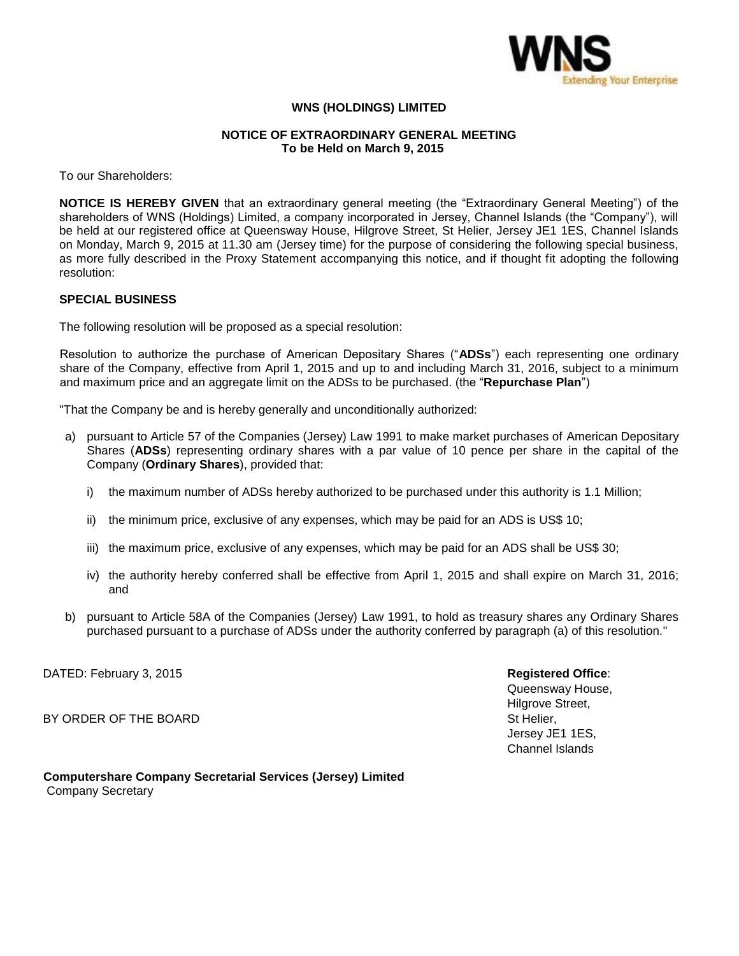

## **WNS (HOLDINGS) LIMITED**

## **NOTICE OF EXTRAORDINARY GENERAL MEETING To be Held on March 9, 2015**

To our Shareholders:

**NOTICE IS HEREBY GIVEN** that an extraordinary general meeting (the "Extraordinary General Meeting") of the shareholders of WNS (Holdings) Limited, a company incorporated in Jersey, Channel Islands (the "Company"), will be held at our registered office at Queensway House, Hilgrove Street, St Helier, Jersey JE1 1ES, Channel Islands on Monday, March 9, 2015 at 11.30 am (Jersey time) for the purpose of considering the following special business, as more fully described in the Proxy Statement accompanying this notice, and if thought fit adopting the following resolution:

## **SPECIAL BUSINESS**

The following resolution will be proposed as a special resolution:

Resolution to authorize the purchase of American Depositary Shares ("**ADSs**") each representing one ordinary share of the Company, effective from April 1, 2015 and up to and including March 31, 2016, subject to a minimum and maximum price and an aggregate limit on the ADSs to be purchased. (the "**Repurchase Plan**")

"That the Company be and is hereby generally and unconditionally authorized:

- a) pursuant to Article 57 of the Companies (Jersey) Law 1991 to make market purchases of American Depositary Shares (**ADSs**) representing ordinary shares with a par value of 10 pence per share in the capital of the Company (**Ordinary Shares**), provided that:
	- i) the maximum number of ADSs hereby authorized to be purchased under this authority is 1.1 Million;
	- ii) the minimum price, exclusive of any expenses, which may be paid for an ADS is US\$ 10;
	- iii) the maximum price, exclusive of any expenses, which may be paid for an ADS shall be US\$ 30;
	- iv) the authority hereby conferred shall be effective from April 1, 2015 and shall expire on March 31, 2016; and
- b) pursuant to Article 58A of the Companies (Jersey) Law 1991, to hold as treasury shares any Ordinary Shares purchased pursuant to a purchase of ADSs under the authority conferred by paragraph (a) of this resolution."

DATED: February 3, 2015 **Registered Office**:

BY ORDER OF THE BOARD STOLEN AND STUDIES AND STUDIES OF THE BOARD STUDIES AND STUDIES AND STUDIES OF THE BOARD

Queensway House, Hilgrove Street, Jersey JE1 1ES, Channel Islands

**Computershare Company Secretarial Services (Jersey) Limited** Company Secretary